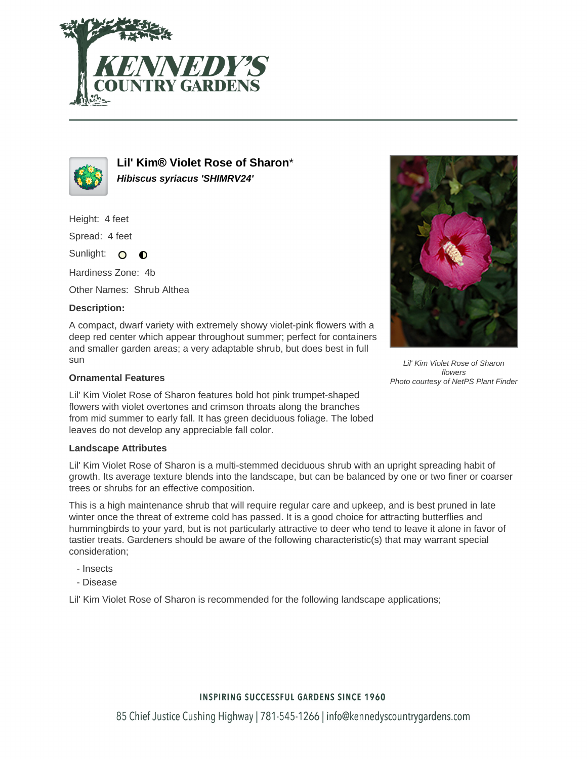



**Lil' Kim® Violet Rose of Sharon**\* **Hibiscus syriacus 'SHIMRV24'**

Height: 4 feet

Spread: 4 feet

Sunlight: O  $\bullet$ 

Hardiness Zone: 4b

Other Names: Shrub Althea

## **Description:**

A compact, dwarf variety with extremely showy violet-pink flowers with a deep red center which appear throughout summer; perfect for containers and smaller garden areas; a very adaptable shrub, but does best in full sun

## **Ornamental Features**

Lil' Kim Violet Rose of Sharon features bold hot pink trumpet-shaped flowers with violet overtones and crimson throats along the branches from mid summer to early fall. It has green deciduous foliage. The lobed leaves do not develop any appreciable fall color.

#### **Landscape Attributes**

Lil' Kim Violet Rose of Sharon is a multi-stemmed deciduous shrub with an upright spreading habit of growth. Its average texture blends into the landscape, but can be balanced by one or two finer or coarser trees or shrubs for an effective composition.

This is a high maintenance shrub that will require regular care and upkeep, and is best pruned in late winter once the threat of extreme cold has passed. It is a good choice for attracting butterflies and hummingbirds to your yard, but is not particularly attractive to deer who tend to leave it alone in favor of tastier treats. Gardeners should be aware of the following characteristic(s) that may warrant special consideration;

- Insects
- Disease

Lil' Kim Violet Rose of Sharon is recommended for the following landscape applications;



Lil' Kim Violet Rose of Sharon flowers Photo courtesy of NetPS Plant Finder

## **INSPIRING SUCCESSFUL GARDENS SINCE 1960**

85 Chief Justice Cushing Highway | 781-545-1266 | info@kennedyscountrygardens.com